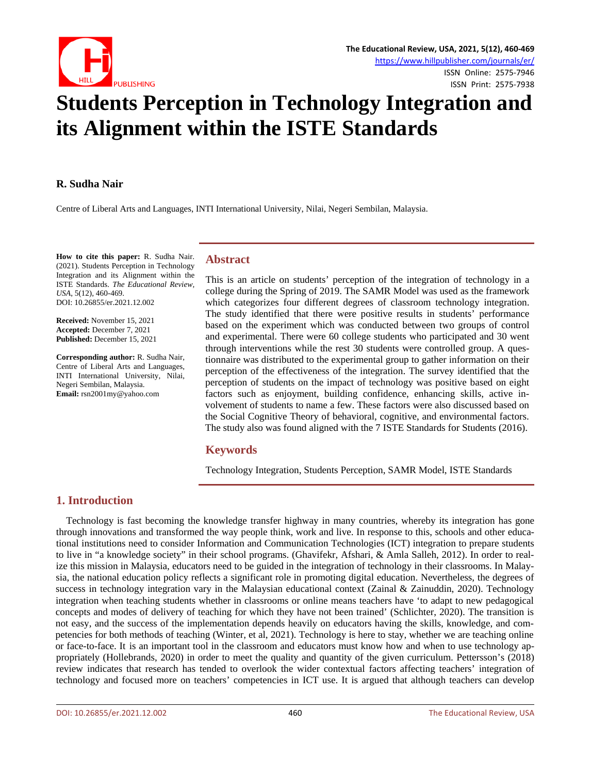

# **Students Perception in Technology Integration and its Alignment within the ISTE Standards**

#### **R. Sudha Nair**

Centre of Liberal Arts and Languages, INTI International University, Nilai, Negeri Sembilan, Malaysia.

**How to cite this paper:** R. Sudha Nair. (2021). Students Perception in Technology Integration and its Alignment within the ISTE Standards. *The Educational Review, USA*, 5(12), 460-469. DOI: 10.26855/er.2021.12.002

**Received:** November 15, 2021 **Accepted:** December 7, 2021 **Published:** December 15, 2021

**Corresponding author:** R. Sudha Nair, Centre of Liberal Arts and Languages, INTI International University, Nilai, Negeri Sembilan, Malaysia. **Email:** rsn2001my@yahoo.com

### **Abstract**

This is an article on students' perception of the integration of technology in a college during the Spring of 2019. The SAMR Model was used as the framework which categorizes four different degrees of classroom technology integration. The study identified that there were positive results in students' performance based on the experiment which was conducted between two groups of control and experimental. There were 60 college students who participated and 30 went through interventions while the rest 30 students were controlled group. A questionnaire was distributed to the experimental group to gather information on their perception of the effectiveness of the integration. The survey identified that the perception of students on the impact of technology was positive based on eight factors such as enjoyment, building confidence, enhancing skills, active involvement of students to name a few. These factors were also discussed based on the Social Cognitive Theory of behavioral, cognitive, and environmental factors. The study also was found aligned with the 7 ISTE Standards for Students (2016).

# **Keywords**

Technology Integration, Students Perception, SAMR Model, ISTE Standards

# **1. Introduction**

Technology is fast becoming the knowledge transfer highway in many countries, whereby its integration has gone through innovations and transformed the way people think, work and live. In response to this, schools and other educational institutions need to consider Information and Communication Technologies (ICT) integration to prepare students to live in "a knowledge society" in their school programs. (Ghavifekr, Afshari, & Amla Salleh, 2012). In order to realize this mission in Malaysia, educators need to be guided in the integration of technology in their classrooms. In Malaysia, the national education policy reflects a significant role in promoting digital education. Nevertheless, the degrees of success in technology integration vary in the Malaysian educational context (Zainal & Zainuddin, 2020). Technology integration when teaching students whether in classrooms or online means teachers have 'to adapt to new pedagogical concepts and modes of delivery of teaching for which they have not been trained' (Schlichter, 2020). The transition is not easy, and the success of the implementation depends heavily on educators having the skills, knowledge, and competencies for both methods of teaching (Winter, et al, 2021). Technology is here to stay, whether we are teaching online or face-to-face. It is an important tool in the classroom and educators must know how and when to use technology appropriately (Hollebrands, 2020) in order to meet the quality and quantity of the given curriculum. Pettersson's (2018) review indicates that research has tended to overlook the wider contextual factors affecting teachers' integration of technology and focused more on teachers' competencies in ICT use. It is argued that although teachers can develop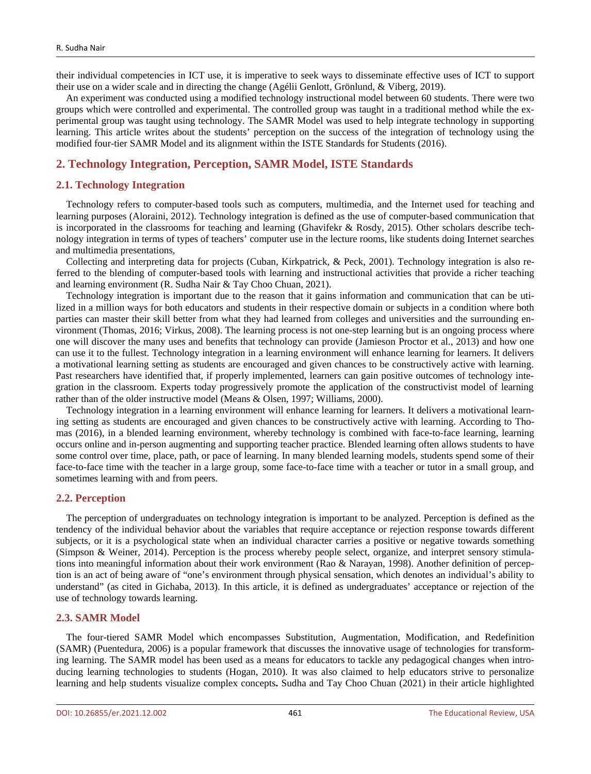their individual competencies in ICT use, it is imperative to seek ways to disseminate effective uses of ICT to support their use on a wider scale and in directing the change (Agélii Genlott, Grönlund, & Viberg, 2019).

An experiment was conducted using a modified technology instructional model between 60 students. There were two groups which were controlled and experimental. The controlled group was taught in a traditional method while the experimental group was taught using technology. The SAMR Model was used to help integrate technology in supporting learning. This article writes about the students' perception on the success of the integration of technology using the modified four-tier SAMR Model and its alignment within the ISTE Standards for Students (2016).

# **2. Technology Integration, Perception, SAMR Model, ISTE Standards**

## **2.1. Technology Integration**

Technology refers to computer-based tools such as computers, multimedia, and the Internet used for teaching and learning purposes (Aloraini, 2012). Technology integration is defined as the use of computer-based communication that is incorporated in the classrooms for teaching and learning (Ghavifekr & Rosdy, 2015). Other scholars describe technology integration in terms of types of teachers' computer use in the lecture rooms, like students doing Internet searches and multimedia presentations,

Collecting and interpreting data for projects (Cuban, Kirkpatrick, & Peck, 2001). Technology integration is also referred to the blending of computer-based tools with learning and instructional activities that provide a richer teaching and learning environment (R. Sudha Nair & Tay Choo Chuan, 2021).

Technology integration is important due to the reason that it gains information and communication that can be utilized in a million ways for both educators and students in their respective domain or subjects in a condition where both parties can master their skill better from what they had learned from colleges and universities and the surrounding environment (Thomas, 2016; Virkus, 2008). The learning process is not one-step learning but is an ongoing process where one will discover the many uses and benefits that technology can provide (Jamieson Proctor et al., 2013) and how one can use it to the fullest. Technology integration in a learning environment will enhance learning for learners. It delivers a motivational learning setting as students are encouraged and given chances to be constructively active with learning. Past researchers have identified that, if properly implemented, learners can gain positive outcomes of technology integration in the classroom. Experts today progressively promote the application of the constructivist model of learning rather than of the older instructive model (Means & Olsen, 1997; Williams, 2000).

Technology integration in a learning environment will enhance learning for learners. It delivers a motivational learning setting as students are encouraged and given chances to be constructively active with learning. According to Thomas (2016), in a blended learning environment, whereby technology is combined with face-to-face learning, learning occurs online and in-person augmenting and supporting teacher practice. Blended learning often allows students to have some control over time, place, path, or pace of learning. In many blended learning models, students spend some of their face-to-face time with the teacher in a large group, some face-to-face time with a teacher or tutor in a small group, and sometimes learning with and from peers.

#### **2.2. Perception**

The perception of undergraduates on technology integration is important to be analyzed. Perception is defined as the tendency of the individual behavior about the variables that require acceptance or rejection response towards different subjects, or it is a psychological state when an individual character carries a positive or negative towards something (Simpson & Weiner, 2014). Perception is the process whereby people select, organize, and interpret sensory stimulations into meaningful information about their work environment (Rao & Narayan, 1998). Another definition of perception is an act of being aware of "one's environment through physical sensation, which denotes an individual's ability to understand" (as cited in Gichaba, 2013). In this article, it is defined as undergraduates' acceptance or rejection of the use of technology towards learning.

#### **2.3. SAMR Model**

The four-tiered SAMR Model which encompasses Substitution, Augmentation, Modification, and Redefinition (SAMR) (Puentedura, 2006) is a popular framework that discusses the innovative usage of technologies for transforming learning. The SAMR model has been used as a means for educators to tackle any pedagogical changes when introducing learning technologies to students (Hogan, 2010). It was also claimed to help educators strive to personalize learning and help students visualize complex concepts**.** Sudha and Tay Choo Chuan (2021) in their article highlighted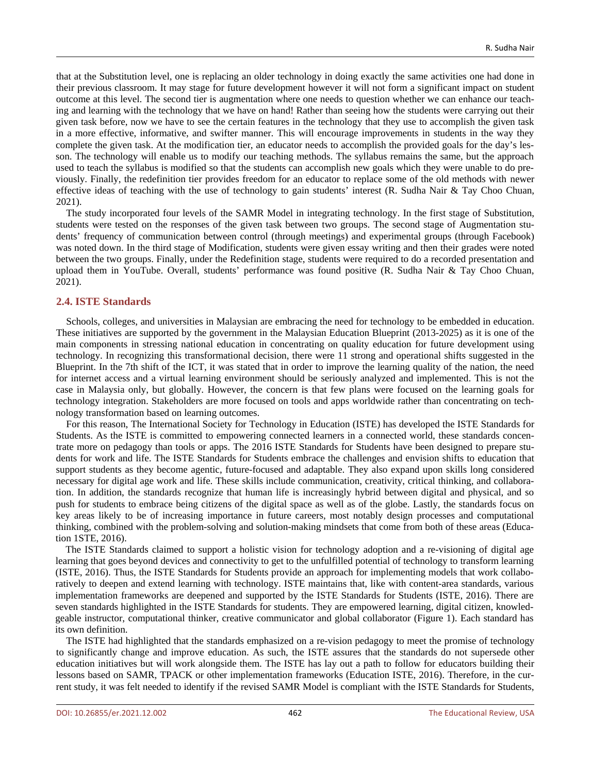that at the Substitution level, one is replacing an older technology in doing exactly the same activities one had done in their previous classroom. It may stage for future development however it will not form a significant impact on student outcome at this level. The second tier is augmentation where one needs to question whether we can enhance our teaching and learning with the technology that we have on hand! Rather than seeing how the students were carrying out their given task before, now we have to see the certain features in the technology that they use to accomplish the given task in a more effective, informative, and swifter manner. This will encourage improvements in students in the way they complete the given task. At the modification tier, an educator needs to accomplish the provided goals for the day's lesson. The technology will enable us to modify our teaching methods. The syllabus remains the same, but the approach used to teach the syllabus is modified so that the students can accomplish new goals which they were unable to do previously. Finally, the redefinition tier provides freedom for an educator to replace some of the old methods with newer effective ideas of teaching with the use of technology to gain students' interest (R. Sudha Nair & Tay Choo Chuan, 2021).

The study incorporated four levels of the SAMR Model in integrating technology. In the first stage of Substitution, students were tested on the responses of the given task between two groups. The second stage of Augmentation students' frequency of communication between control (through meetings) and experimental groups (through Facebook) was noted down. In the third stage of Modification, students were given essay writing and then their grades were noted between the two groups. Finally, under the Redefinition stage, students were required to do a recorded presentation and upload them in YouTube. Overall, students' performance was found positive (R. Sudha Nair & Tay Choo Chuan, 2021).

#### **2.4. ISTE Standards**

Schools, colleges, and universities in Malaysian are embracing the need for technology to be embedded in education. These initiatives are supported by the government in the Malaysian Education Blueprint (2013-2025) as it is one of the main components in stressing national education in concentrating on quality education for future development using technology. In recognizing this transformational decision, there were 11 strong and operational shifts suggested in the Blueprint. In the 7th shift of the ICT, it was stated that in order to improve the learning quality of the nation, the need for internet access and a virtual learning environment should be seriously analyzed and implemented. This is not the case in Malaysia only, but globally. However, the concern is that few plans were focused on the learning goals for technology integration. Stakeholders are more focused on tools and apps worldwide rather than concentrating on technology transformation based on learning outcomes.

For this reason, The International Society for Technology in Education (ISTE) has developed the ISTE Standards for Students. As the ISTE is committed to empowering connected learners in a connected world, these standards concentrate more on pedagogy than tools or apps. The 2016 ISTE Standards for Students have been designed to prepare students for work and life. The ISTE Standards for Students embrace the challenges and envision shifts to education that support students as they become agentic, future-focused and adaptable. They also expand upon skills long considered necessary for digital age work and life. These skills include communication, creativity, critical thinking, and collaboration. In addition, the standards recognize that human life is increasingly hybrid between digital and physical, and so push for students to embrace being citizens of the digital space as well as of the globe. Lastly, the standards focus on key areas likely to be of increasing importance in future careers, most notably design processes and computational thinking, combined with the problem-solving and solution-making mindsets that come from both of these areas (Education 1STE, 2016).

The ISTE Standards claimed to support a holistic vision for technology adoption and a re-visioning of digital age learning that goes beyond devices and connectivity to get to the unfulfilled potential of technology to transform learning (ISTE, 2016). Thus, the ISTE Standards for Students provide an approach for implementing models that work collaboratively to deepen and extend learning with technology. ISTE maintains that, like with content-area standards, various implementation frameworks are deepened and supported by the ISTE Standards for Students (ISTE, 2016). There are seven standards highlighted in the ISTE Standards for students. They are empowered learning, digital citizen, knowledgeable instructor, computational thinker, creative communicator and global collaborator (Figure 1). Each standard has its own definition.

The ISTE had highlighted that the standards emphasized on a re-vision pedagogy to meet the promise of technology to significantly change and improve education. As such, the ISTE assures that the standards do not supersede other education initiatives but will work alongside them. The ISTE has lay out a path to follow for educators building their lessons based on SAMR, TPACK or other implementation frameworks (Education ISTE, 2016). Therefore, in the current study, it was felt needed to identify if the revised SAMR Model is compliant with the ISTE Standards for Students,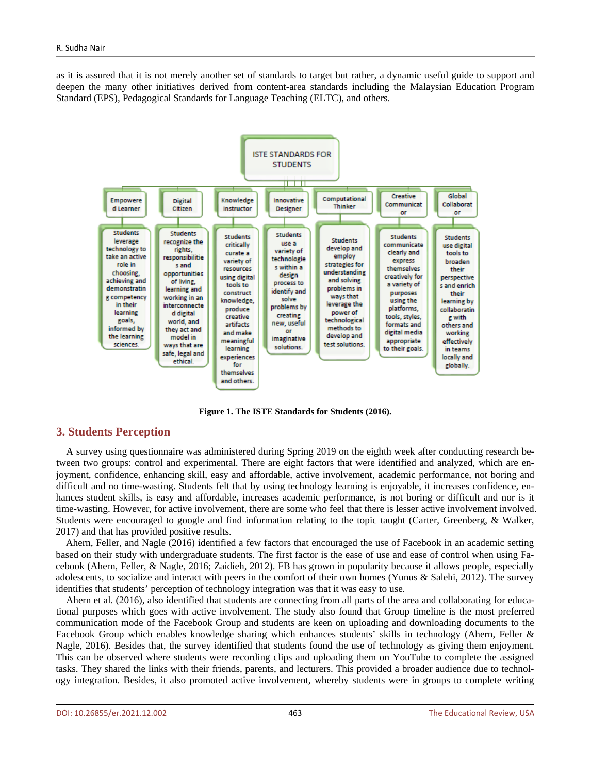as it is assured that it is not merely another set of standards to target but rather, a dynamic useful guide to support and deepen the many other initiatives derived from content-area standards including the Malaysian Education Program Standard (EPS), Pedagogical Standards for Language Teaching (ELTC), and others.



**Figure 1. The ISTE Standards for Students (2016).**

#### **3. Students Perception**

A survey using questionnaire was administered during Spring 2019 on the eighth week after conducting research between two groups: control and experimental. There are eight factors that were identified and analyzed, which are enjoyment, confidence, enhancing skill, easy and affordable, active involvement, academic performance, not boring and difficult and no time-wasting. Students felt that by using technology learning is enjoyable, it increases confidence, enhances student skills, is easy and affordable, increases academic performance, is not boring or difficult and nor is it time-wasting. However, for active involvement, there are some who feel that there is lesser active involvement involved. Students were encouraged to google and find information relating to the topic taught (Carter, Greenberg, & Walker, 2017) and that has provided positive results.

Ahern, Feller, and Nagle (2016) identified a few factors that encouraged the use of Facebook in an academic setting based on their study with undergraduate students. The first factor is the ease of use and ease of control when using Facebook (Ahern, Feller, & Nagle, 2016; Zaidieh, 2012). FB has grown in popularity because it allows people, especially adolescents, to socialize and interact with peers in the comfort of their own homes (Yunus & Salehi, 2012). The survey identifies that students' perception of technology integration was that it was easy to use.

Ahern et al. (2016), also identified that students are connecting from all parts of the area and collaborating for educational purposes which goes with active involvement. The study also found that Group timeline is the most preferred communication mode of the Facebook Group and students are keen on uploading and downloading documents to the Facebook Group which enables knowledge sharing which enhances students' skills in technology (Ahern, Feller & Nagle, 2016). Besides that, the survey identified that students found the use of technology as giving them enjoyment. This can be observed where students were recording clips and uploading them on YouTube to complete the assigned tasks. They shared the links with their friends, parents, and lecturers. This provided a broader audience due to technology integration. Besides, it also promoted active involvement, whereby students were in groups to complete writing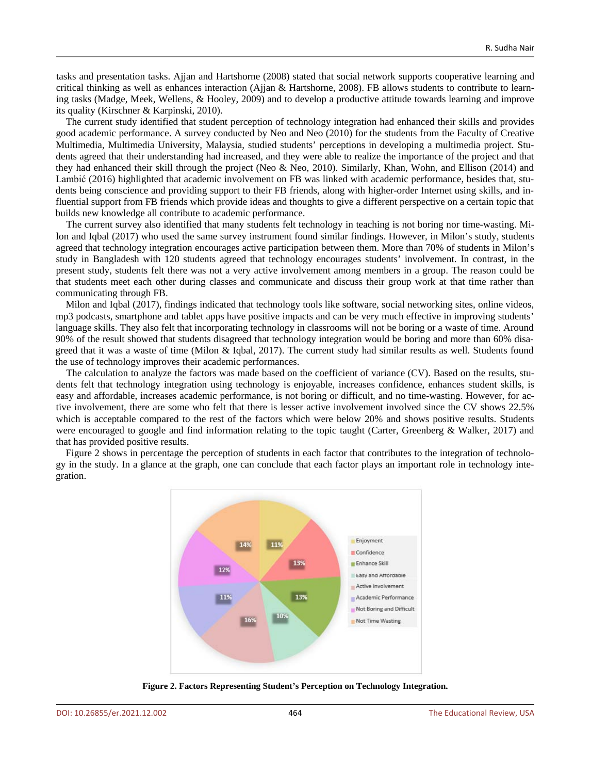tasks and presentation tasks. Ajjan and Hartshorne (2008) stated that social network supports cooperative learning and critical thinking as well as enhances interaction (Ajjan & Hartshorne, 2008). FB allows students to contribute to learning tasks (Madge, Meek, Wellens, & Hooley, 2009) and to develop a productive attitude towards learning and improve its quality (Kirschner & Karpinski, 2010).

The current study identified that student perception of technology integration had enhanced their skills and provides good academic performance. A survey conducted by Neo and Neo (2010) for the students from the Faculty of Creative Multimedia, Multimedia University, Malaysia, studied students' perceptions in developing a multimedia project. Students agreed that their understanding had increased, and they were able to realize the importance of the project and that they had enhanced their skill through the project (Neo & Neo, 2010). Similarly, Khan, Wohn, and Ellison (2014) and Lambić (2016) highlighted that academic involvement on FB was linked with academic performance, besides that, students being conscience and providing support to their FB friends, along with higher-order Internet using skills, and influential support from FB friends which provide ideas and thoughts to give a different perspective on a certain topic that builds new knowledge all contribute to academic performance.

The current survey also identified that many students felt technology in teaching is not boring nor time-wasting. Milon and Iqbal (2017) who used the same survey instrument found similar findings. However, in Milon's study, students agreed that technology integration encourages active participation between them. More than 70% of students in Milon's study in Bangladesh with 120 students agreed that technology encourages students' involvement. In contrast, in the present study, students felt there was not a very active involvement among members in a group. The reason could be that students meet each other during classes and communicate and discuss their group work at that time rather than communicating through FB.

Milon and Iqbal (2017), findings indicated that technology tools like software, social networking sites, online videos, mp3 podcasts, smartphone and tablet apps have positive impacts and can be very much effective in improving students' language skills. They also felt that incorporating technology in classrooms will not be boring or a waste of time. Around 90% of the result showed that students disagreed that technology integration would be boring and more than 60% disagreed that it was a waste of time (Milon & Iqbal, 2017). The current study had similar results as well. Students found the use of technology improves their academic performances.

The calculation to analyze the factors was made based on the coefficient of variance (CV). Based on the results, students felt that technology integration using technology is enjoyable, increases confidence, enhances student skills, is easy and affordable, increases academic performance, is not boring or difficult, and no time-wasting. However, for active involvement, there are some who felt that there is lesser active involvement involved since the CV shows 22.5% which is acceptable compared to the rest of the factors which were below 20% and shows positive results. Students were encouraged to google and find information relating to the topic taught (Carter, Greenberg & Walker, 2017) and that has provided positive results.

Figure 2 shows in percentage the perception of students in each factor that contributes to the integration of technology in the study. In a glance at the graph, one can conclude that each factor plays an important role in technology integration.



**Figure 2. Factors Representing Student's Perception on Technology Integration.**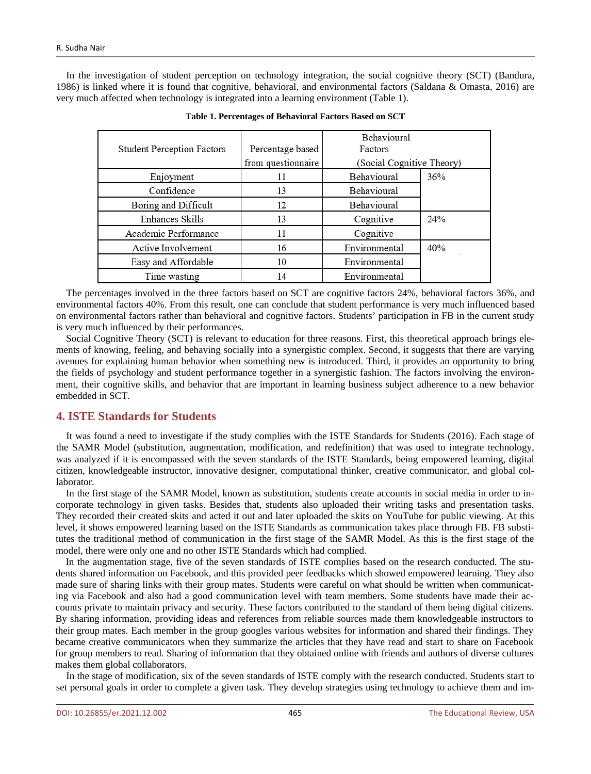In the investigation of student perception on technology integration, the social cognitive theory (SCT) (Bandura, 1986) is linked where it is found that cognitive, behavioral, and environmental factors (Saldana & Omasta, 2016) are very much affected when technology is integrated into a learning environment (Table 1).

|                                   |                    | Behavioural               |     |
|-----------------------------------|--------------------|---------------------------|-----|
| <b>Student Perception Factors</b> | Percentage based   | Factors                   |     |
|                                   | from questionnaire | (Social Cognitive Theory) |     |
| Enjoyment                         | 11                 | Behavioural               | 36% |
| Confidence                        | 13                 | Behavioural               |     |
| Boring and Difficult              | 12                 | Behavioural               |     |
| Enhances Skills                   | 13                 | Cognitive                 | 24% |
| Academic Performance              | 11                 | Cognitive                 |     |
| Active Involvement                | 16                 | Environmental             | 40% |
| Easy and Affordable               | 10                 | Environmental             |     |
| Time wasting                      | 14                 | Environmental             |     |

| Table 1. Percentages of Behavioral Factors Based on SCT |  |  |  |
|---------------------------------------------------------|--|--|--|
|---------------------------------------------------------|--|--|--|

The percentages involved in the three factors based on SCT are cognitive factors 24%, behavioral factors 36%, and environmental factors 40%. From this result, one can conclude that student performance is very much influenced based on environmental factors rather than behavioral and cognitive factors. Students' participation in FB in the current study is very much influenced by their performances.

Social Cognitive Theory (SCT) is relevant to education for three reasons. First, this theoretical approach brings elements of knowing, feeling, and behaving socially into a synergistic complex. Second, it suggests that there are varying avenues for explaining human behavior when something new is introduced. Third, it provides an opportunity to bring the fields of psychology and student performance together in a synergistic fashion. The factors involving the environment, their cognitive skills, and behavior that are important in learning business subject adherence to a new behavior embedded in SCT.

# **4. ISTE Standards for Students**

It was found a need to investigate if the study complies with the ISTE Standards for Students (2016). Each stage of the SAMR Model (substitution, augmentation, modification, and redefinition) that was used to integrate technology, was analyzed if it is encompassed with the seven standards of the ISTE Standards, being empowered learning, digital citizen, knowledgeable instructor, innovative designer, computational thinker, creative communicator, and global collaborator.

In the first stage of the SAMR Model, known as substitution, students create accounts in social media in order to incorporate technology in given tasks. Besides that, students also uploaded their writing tasks and presentation tasks. They recorded their created skits and acted it out and later uploaded the skits on YouTube for public viewing. At this level, it shows empowered learning based on the ISTE Standards as communication takes place through FB. FB substitutes the traditional method of communication in the first stage of the SAMR Model. As this is the first stage of the model, there were only one and no other ISTE Standards which had complied.

In the augmentation stage, five of the seven standards of ISTE complies based on the research conducted. The students shared information on Facebook, and this provided peer feedbacks which showed empowered learning. They also made sure of sharing links with their group mates. Students were careful on what should be written when communicating via Facebook and also had a good communication level with team members. Some students have made their accounts private to maintain privacy and security. These factors contributed to the standard of them being digital citizens. By sharing information, providing ideas and references from reliable sources made them knowledgeable instructors to their group mates. Each member in the group googles various websites for information and shared their findings. They became creative communicators when they summarize the articles that they have read and start to share on Facebook for group members to read. Sharing of information that they obtained online with friends and authors of diverse cultures makes them global collaborators.

In the stage of modification, six of the seven standards of ISTE comply with the research conducted. Students start to set personal goals in order to complete a given task. They develop strategies using technology to achieve them and im-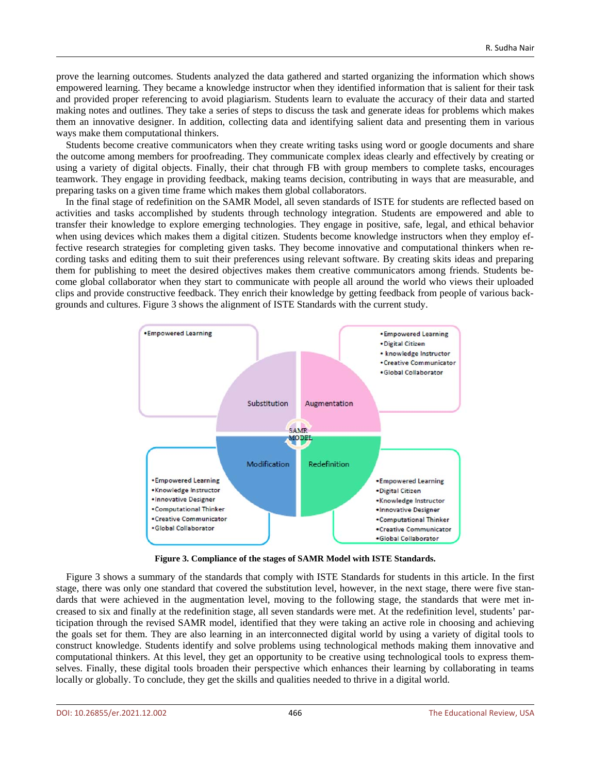prove the learning outcomes. Students analyzed the data gathered and started organizing the information which shows empowered learning. They became a knowledge instructor when they identified information that is salient for their task and provided proper referencing to avoid plagiarism. Students learn to evaluate the accuracy of their data and started making notes and outlines. They take a series of steps to discuss the task and generate ideas for problems which makes them an innovative designer. In addition, collecting data and identifying salient data and presenting them in various ways make them computational thinkers.

Students become creative communicators when they create writing tasks using word or google documents and share the outcome among members for proofreading. They communicate complex ideas clearly and effectively by creating or using a variety of digital objects. Finally, their chat through FB with group members to complete tasks, encourages teamwork. They engage in providing feedback, making teams decision, contributing in ways that are measurable, and preparing tasks on a given time frame which makes them global collaborators.

In the final stage of redefinition on the SAMR Model, all seven standards of ISTE for students are reflected based on activities and tasks accomplished by students through technology integration. Students are empowered and able to transfer their knowledge to explore emerging technologies. They engage in positive, safe, legal, and ethical behavior when using devices which makes them a digital citizen. Students become knowledge instructors when they employ effective research strategies for completing given tasks. They become innovative and computational thinkers when recording tasks and editing them to suit their preferences using relevant software. By creating skits ideas and preparing them for publishing to meet the desired objectives makes them creative communicators among friends. Students become global collaborator when they start to communicate with people all around the world who views their uploaded clips and provide constructive feedback. They enrich their knowledge by getting feedback from people of various backgrounds and cultures. Figure 3 shows the alignment of ISTE Standards with the current study.



**Figure 3. Compliance of the stages of SAMR Model with ISTE Standards.**

Figure 3 shows a summary of the standards that comply with ISTE Standards for students in this article. In the first stage, there was only one standard that covered the substitution level, however, in the next stage, there were five standards that were achieved in the augmentation level, moving to the following stage, the standards that were met increased to six and finally at the redefinition stage, all seven standards were met. At the redefinition level, students' participation through the revised SAMR model, identified that they were taking an active role in choosing and achieving the goals set for them. They are also learning in an interconnected digital world by using a variety of digital tools to construct knowledge. Students identify and solve problems using technological methods making them innovative and computational thinkers. At this level, they get an opportunity to be creative using technological tools to express themselves. Finally, these digital tools broaden their perspective which enhances their learning by collaborating in teams locally or globally. To conclude, they get the skills and qualities needed to thrive in a digital world.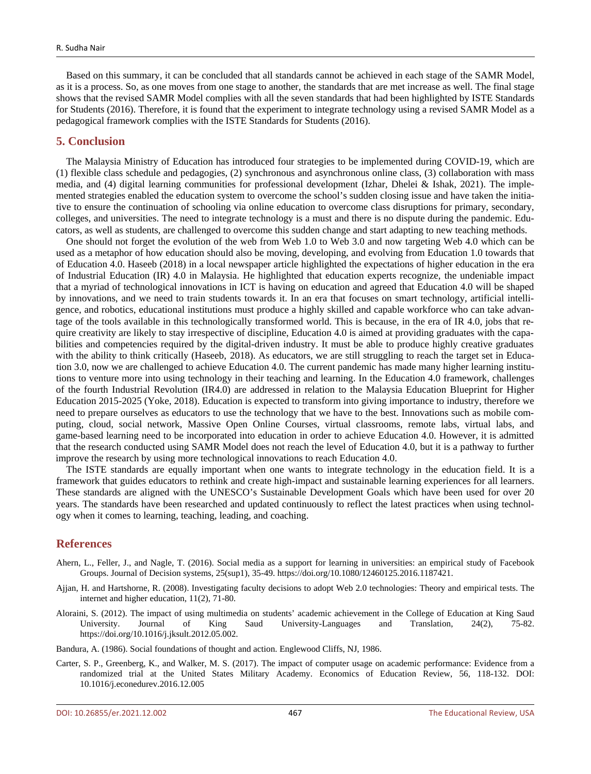Based on this summary, it can be concluded that all standards cannot be achieved in each stage of the SAMR Model, as it is a process. So, as one moves from one stage to another, the standards that are met increase as well. The final stage shows that the revised SAMR Model complies with all the seven standards that had been highlighted by ISTE Standards for Students (2016). Therefore, it is found that the experiment to integrate technology using a revised SAMR Model as a pedagogical framework complies with the ISTE Standards for Students (2016).

#### **5. Conclusion**

The Malaysia Ministry of Education has introduced four strategies to be implemented during COVID-19, which are (1) flexible class schedule and pedagogies, (2) synchronous and asynchronous online class, (3) collaboration with mass media, and (4) digital learning communities for professional development (Izhar, Dhelei & Ishak, 2021). The implemented strategies enabled the education system to overcome the school's sudden closing issue and have taken the initiative to ensure the continuation of schooling via online education to overcome class disruptions for primary, secondary, colleges, and universities. The need to integrate technology is a must and there is no dispute during the pandemic. Educators, as well as students, are challenged to overcome this sudden change and start adapting to new teaching methods.

One should not forget the evolution of the web from Web 1.0 to Web 3.0 and now targeting Web 4.0 which can be used as a metaphor of how education should also be moving, developing, and evolving from Education 1.0 towards that of Education 4.0. Haseeb (2018) in a local newspaper article highlighted the expectations of higher education in the era of Industrial Education (IR) 4.0 in Malaysia. He highlighted that education experts recognize, the undeniable impact that a myriad of technological innovations in ICT is having on education and agreed that Education 4.0 will be shaped by innovations, and we need to train students towards it. In an era that focuses on smart technology, artificial intelligence, and robotics, educational institutions must produce a highly skilled and capable workforce who can take advantage of the tools available in this technologically transformed world. This is because, in the era of IR 4.0, jobs that require creativity are likely to stay irrespective of discipline, Education 4.0 is aimed at providing graduates with the capabilities and competencies required by the digital-driven industry. It must be able to produce highly creative graduates with the ability to think critically (Haseeb, 2018). As educators, we are still struggling to reach the target set in Education 3.0, now we are challenged to achieve Education 4.0. The current pandemic has made many higher learning institutions to venture more into using technology in their teaching and learning. In the Education 4.0 framework, challenges of the fourth Industrial Revolution (IR4.0) are addressed in relation to the Malaysia Education Blueprint for Higher Education 2015-2025 (Yoke, 2018). Education is expected to transform into giving importance to industry, therefore we need to prepare ourselves as educators to use the technology that we have to the best. Innovations such as mobile computing, cloud, social network, Massive Open Online Courses, virtual classrooms, remote labs, virtual labs, and game-based learning need to be incorporated into education in order to achieve Education 4.0. However, it is admitted that the research conducted using SAMR Model does not reach the level of Education 4.0, but it is a pathway to further improve the research by using more technological innovations to reach Education 4.0.

The ISTE standards are equally important when one wants to integrate technology in the education field. It is a framework that guides educators to rethink and create high-impact and sustainable learning experiences for all learners. These standards are aligned with the UNESCO's Sustainable Development Goals which have been used for over 20 years. The standards have been researched and updated continuously to reflect the latest practices when using technology when it comes to learning, teaching, leading, and coaching.

#### **References**

- Ahern, L., Feller, J., and Nagle, T. (2016). Social media as a support for learning in universities: an empirical study of Facebook Groups. Journal of Decision systems, 25(sup1), 35-49. https://doi.org/10.1080/12460125.2016.1187421.
- Ajjan, H. and Hartshorne, R. (2008). Investigating faculty decisions to adopt Web 2.0 technologies: Theory and empirical tests. The internet and higher education, 11(2), 71-80.
- Aloraini, S. (2012). The impact of using multimedia on students' academic achievement in the College of Education at King Saud University. Journal of King Saud University-Languages and Translation, 24(2), 75-82. https://doi.org/10.1016/j.jksult.2012.05.002.
- Bandura, A. (1986). Social foundations of thought and action. Englewood Cliffs, NJ, 1986.
- Carter, S. P., Greenberg, K., and Walker, M. S. (2017). The impact of computer usage on academic performance: Evidence from a randomized trial at the United States Military Academy. Economics of Education Review, 56, 118-132. DOI: 10.1016/j.econedurev.2016.12.005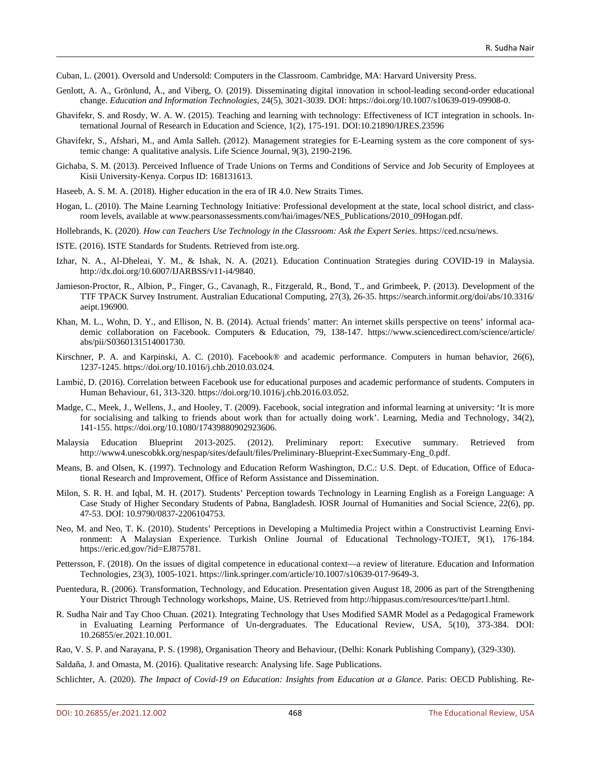Cuban, L. (2001). Oversold and Undersold: Computers in the Classroom. Cambridge, MA: Harvard University Press.

- Genlott, A. A., Grönlund, Å., and Viberg, O. (2019). Disseminating digital innovation in school-leading second-order educational change. *Education and Information Technologies*, 24(5), 3021-3039. DOI: https://doi.org/10.1007/s10639-019-09908-0.
- Ghavifekr, S. and Rosdy, W. A. W. (2015). Teaching and learning with technology: Effectiveness of ICT integration in schools. International Journal of Research in Education and Science, 1(2), 175-191. DOI:10.21890/IJRES.23596
- Ghavifekr, S., Afshari, M., and Amla Salleh. (2012). Management strategies for E-Learning system as the core component of systemic change: A qualitative analysis. Life Science Journal, 9(3), 2190-2196.
- Gichaba, S. M. (2013). Perceived Influence of Trade Unions on Terms and Conditions of Service and Job Security of Employees at Kisii University-Kenya. Corpus ID: 168131613.
- Haseeb, A. S. M. A. (2018). Higher education in the era of IR 4.0. New Straits Times.
- Hogan, L. (2010). The Maine Learning Technology Initiative: Professional development at the state, local school district, and classroom levels, available at www.pearsonassessments.com/hai/images/NES\_Publications/2010\_09Hogan.pdf.
- Hollebrands, K. (2020). *How can Teachers Use Technology in the Classroom: Ask the Expert Series*. https://ced.ncsu/news.
- ISTE. (2016). ISTE Standards for Students. Retrieved from iste.org.
- Izhar, N. A., Al-Dheleai, Y. M., & Ishak, N. A. (2021). Education Continuation Strategies during COVID-19 in Malaysia. http://dx.doi.org/10.6007/IJARBSS/v11-i4/9840.
- Jamieson-Proctor, R., Albion, P., Finger, G., Cavanagh, R., Fitzgerald, R., Bond, T., and Grimbeek, P. (2013). Development of the TTF TPACK Survey Instrument. Australian Educational Computing, 27(3), 26-35. https://search.informit.org/doi/abs/10.3316/ aeipt.196900.
- Khan, M. L., Wohn, D. Y., and Ellison, N. B. (2014). Actual friends' matter: An internet skills perspective on teens' informal academic collaboration on Facebook. Computers & Education, 79, 138-147. https://www.sciencedirect.com/science/article/ abs/pii/S0360131514001730.
- Kirschner, P. A. and Karpinski, A. C. (2010). Facebook® and academic performance. Computers in human behavior, 26(6), 1237-1245. https://doi.org/10.1016/j.chb.2010.03.024.
- Lambić, D. (2016). Correlation between Facebook use for educational purposes and academic performance of students. Computers in Human Behaviour, 61, 313-320. https://doi.org/10.1016/j.chb.2016.03.052.
- Madge, C., Meek, J., Wellens, J., and Hooley, T. (2009). Facebook, social integration and informal learning at university: 'It is more for socialising and talking to friends about work than for actually doing work'. Learning, Media and Technology, 34(2), 141-155. https://doi.org/10.1080/17439880902923606.
- Malaysia Education Blueprint 2013-2025. (2012). Preliminary report: Executive summary. Retrieved from http://www4.unescobkk.org/nespap/sites/default/files/Preliminary-Blueprint-ExecSummary-Eng\_0.pdf.
- Means, B. and Olsen, K. (1997). Technology and Education Reform Washington, D.C.: U.S. Dept. of Education, Office of Educational Research and Improvement, Office of Reform Assistance and Dissemination.
- Milon, S. R. H. and Iqbal, M. H. (2017). Students' Perception towards Technology in Learning English as a Foreign Language: A Case Study of Higher Secondary Students of Pabna, Bangladesh. IOSR Journal of Humanities and Social Science, 22(6), pp. 47-53. DOI: 10.9790/0837-2206104753.
- Neo, M. and Neo, T. K. (2010). Students' Perceptions in Developing a Multimedia Project within a Constructivist Learning Environment: A Malaysian Experience. Turkish Online Journal of Educational Technology-TOJET, 9(1), 176-184. https://eric.ed.gov/?id=EJ875781.
- Pettersson, F. (2018). On the issues of digital competence in educational context—a review of literature. Education and Information Technologies, 23(3), 1005-1021. https://link.springer.com/article/10.1007/s10639-017-9649-3.
- Puentedura, R. (2006). Transformation, Technology, and Education. Presentation given August 18, 2006 as part of the Strengthening Your District Through Technology workshops, Maine, US. Retrieved from http://hippasus.com/resources/tte/part1.html.
- R. Sudha Nair and Tay Choo Chuan. (2021). Integrating Technology that Uses Modified SAMR Model as a Pedagogical Framework in Evaluating Learning Performance of Un-dergraduates. The Educational Review, USA, 5(10), 373-384. DOI: 10.26855/er.2021.10.001.
- Rao, V. S. P. and Narayana, P. S. (1998), Organisation Theory and Behaviour, (Delhi: Konark Publishing Company), (329-330).

Saldaña, J. and Omasta, M. (2016). Qualitative research: Analysing life. Sage Publications.

Schlichter, A. (2020). *The Impact of Covid-19 on Education: Insights from Education at a Glance*. Paris: OECD Publishing. Re-